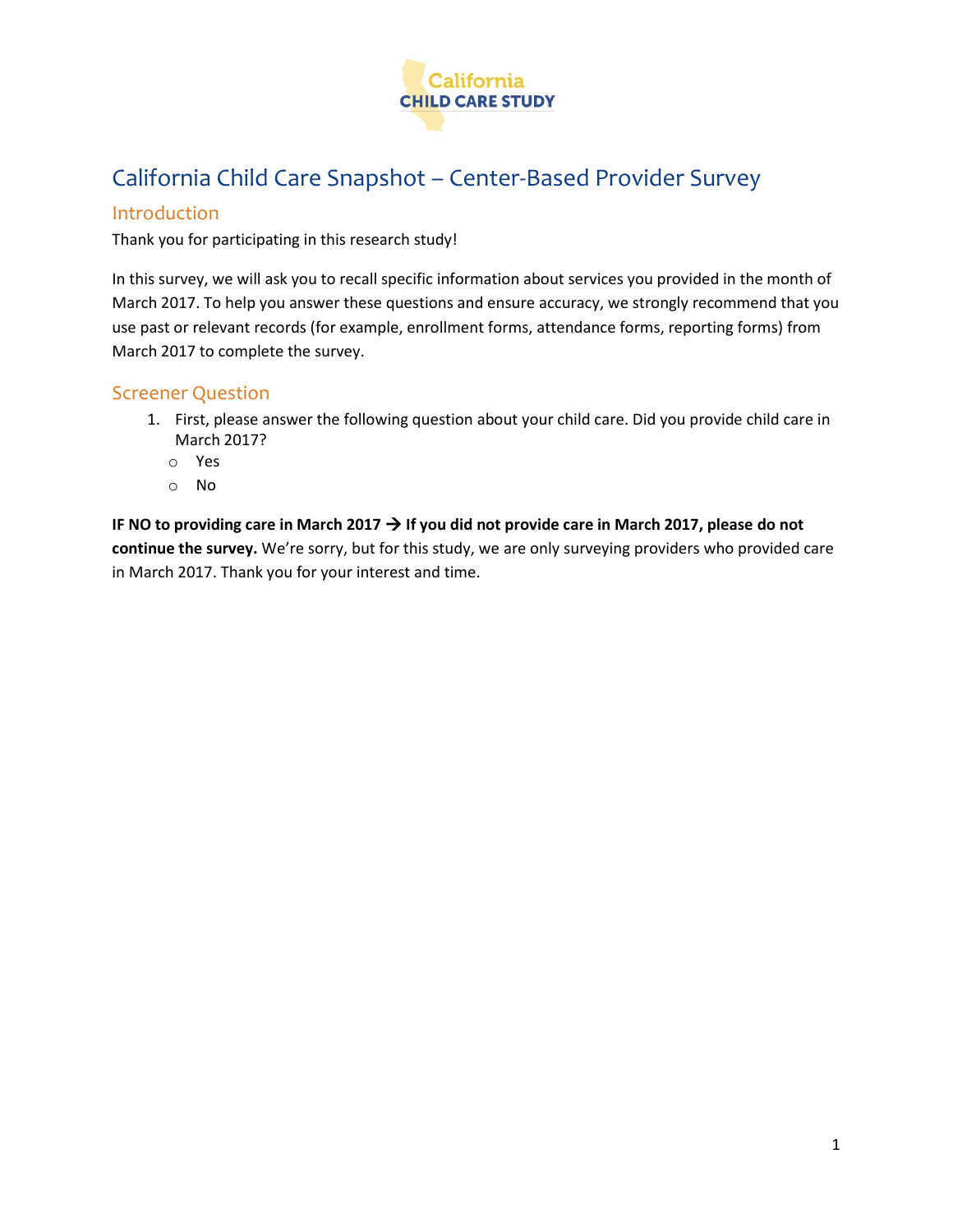

# California Child Care Snapshot – Center-Based Provider Survey

### Introduction

Thank you for participating in this research study!

In this survey, we will ask you to recall specific information about services you provided in the month of March 2017. To help you answer these questions and ensure accuracy, we strongly recommend that you use past or relevant records (for example, enrollment forms, attendance forms, reporting forms) from March 2017 to complete the survey.

### Screener Question

- 1. First, please answer the following question about your child care. Did you provide child care in March 2017?
	- o Yes
	- o No

**IF NO to providing care in March 2017 If you did not provide care in March 2017, please do not continue the survey.** We're sorry, but for this study, we are only surveying providers who provided care in March 2017. Thank you for your interest and time.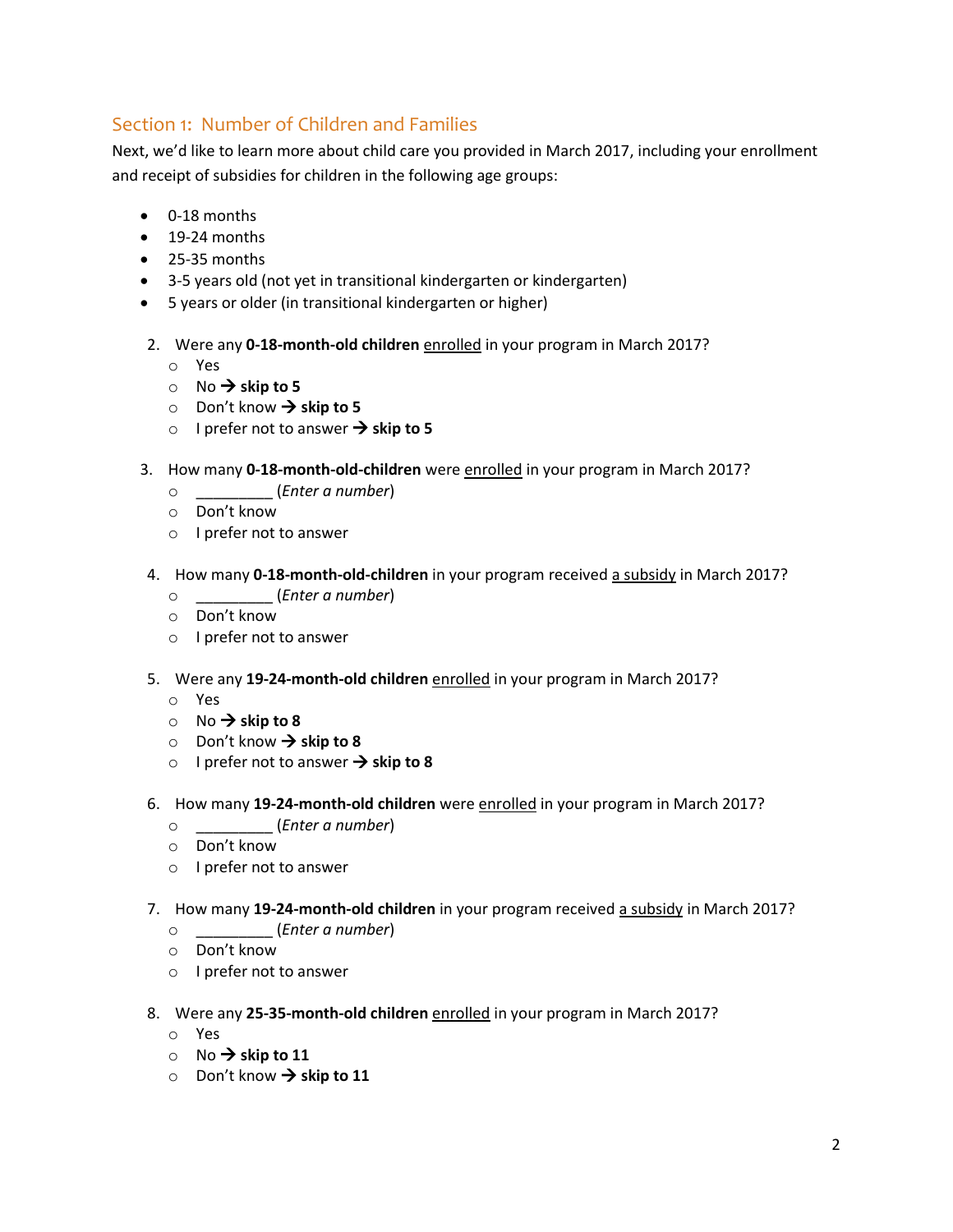# Section 1: Number of Children and Families

Next, we'd like to learn more about child care you provided in March 2017, including your enrollment and receipt of subsidies for children in the following age groups:

- 0-18 months
- 19-24 months
- 25-35 months
- 3-5 years old (not yet in transitional kindergarten or kindergarten)
- 5 years or older (in transitional kindergarten or higher)
- 2. Were any **0-18-month-old children** enrolled in your program in March 2017?
	- o Yes
	- $\circ$  No  $\rightarrow$  skip to 5
	- $\circ$  Don't know  $\rightarrow$  skip to 5
	- o I prefer not to answer  $\rightarrow$  skip to 5
- 3. How many **0-18-month-old-children** were enrolled in your program in March 2017?
	- o \_\_\_\_\_\_\_\_\_ (*Enter a number*)
	- o Don't know
	- o I prefer not to answer
- 4. How many **0-18-month-old-children** in your program received a subsidy in March 2017?
	- o \_\_\_\_\_\_\_\_\_ (*Enter a number*)
	- o Don't know
	- o I prefer not to answer
- 5. Were any **19-24-month-old children** enrolled in your program in March 2017?
	- o Yes
	- $\circ$  No  $\rightarrow$  skip to 8
	- $\circ$  Don't know  $\rightarrow$  skip to 8
	- o I prefer not to answer  $\rightarrow$  skip to 8
- 6. How many **19-24-month-old children** were enrolled in your program in March 2017?
	- o \_\_\_\_\_\_\_\_\_ (*Enter a number*)
	- o Don't know
	- o I prefer not to answer
- 7. How many **19-24-month-old children** in your program received a subsidy in March 2017?
	- o \_\_\_\_\_\_\_\_\_ (*Enter a number*)
	- o Don't know
	- o I prefer not to answer
- 8. Were any **25-35-month-old children** enrolled in your program in March 2017?
	- o Yes
	- $\circ$  No  $\rightarrow$  skip to 11
	- $\circ$  Don't know  $\rightarrow$  skip to 11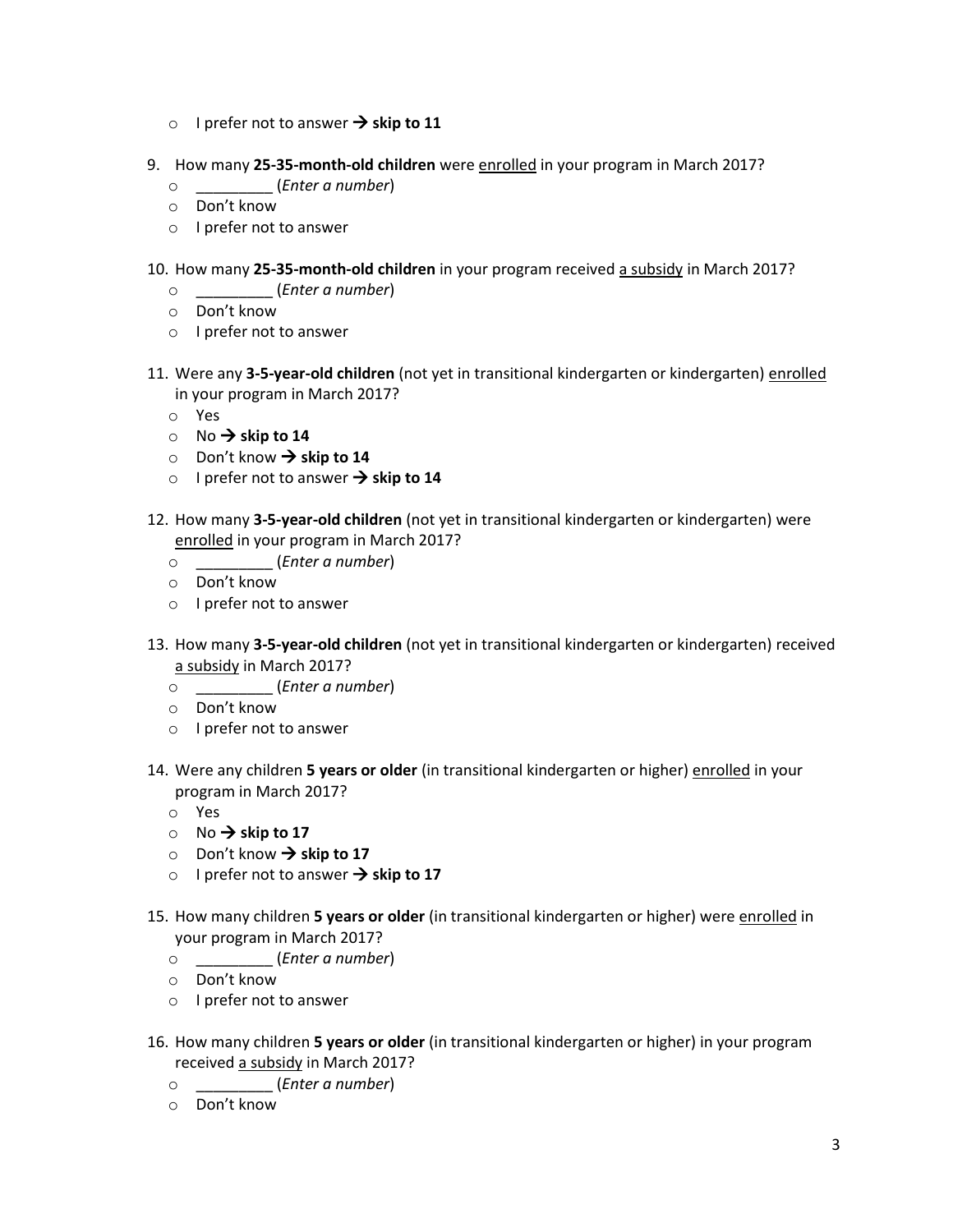- o I prefer not to answer  $\rightarrow$  skip to 11
- 9. How many **25-35-month-old children** were enrolled in your program in March 2017?
	- o \_\_\_\_\_\_\_\_\_ (*Enter a number*)
	- o Don't know
	- o I prefer not to answer
- 10. How many **25-35-month-old children** in your program received a subsidy in March 2017?
	- o \_\_\_\_\_\_\_\_\_ (*Enter a number*)
	- o Don't know
	- o I prefer not to answer
- 11. Were any **3-5-year-old children** (not yet in transitional kindergarten or kindergarten) enrolled in your program in March 2017?
	- o Yes
	- $\circ$  No  $\rightarrow$  skip to 14
	- $\circ$  Don't know  $\rightarrow$  skip to 14
	- o I prefer not to answer  $\rightarrow$  skip to 14
- 12. How many **3-5-year-old children** (not yet in transitional kindergarten or kindergarten) were enrolled in your program in March 2017?
	- o \_\_\_\_\_\_\_\_\_ (*Enter a number*)
	- o Don't know
	- o I prefer not to answer
- 13. How many **3-5-year-old children** (not yet in transitional kindergarten or kindergarten) received a subsidy in March 2017?
	- o \_\_\_\_\_\_\_\_\_ (*Enter a number*)
	- o Don't know
	- o I prefer not to answer
- 14. Were any children **5 years or older** (in transitional kindergarten or higher) enrolled in your program in March 2017?
	- o Yes
	- $\circ$  No  $\rightarrow$  skip to 17
	- $\circ$  Don't know  $\rightarrow$  skip to 17
	- o I prefer not to answer  $\rightarrow$  skip to 17
- 15. How many children **5 years or older** (in transitional kindergarten or higher) were enrolled in your program in March 2017?
	- o \_\_\_\_\_\_\_\_\_ (*Enter a number*)
	- o Don't know
	- o I prefer not to answer
- 16. How many children **5 years or older** (in transitional kindergarten or higher) in your program received a subsidy in March 2017?
	- o \_\_\_\_\_\_\_\_\_ (*Enter a number*)
	- o Don't know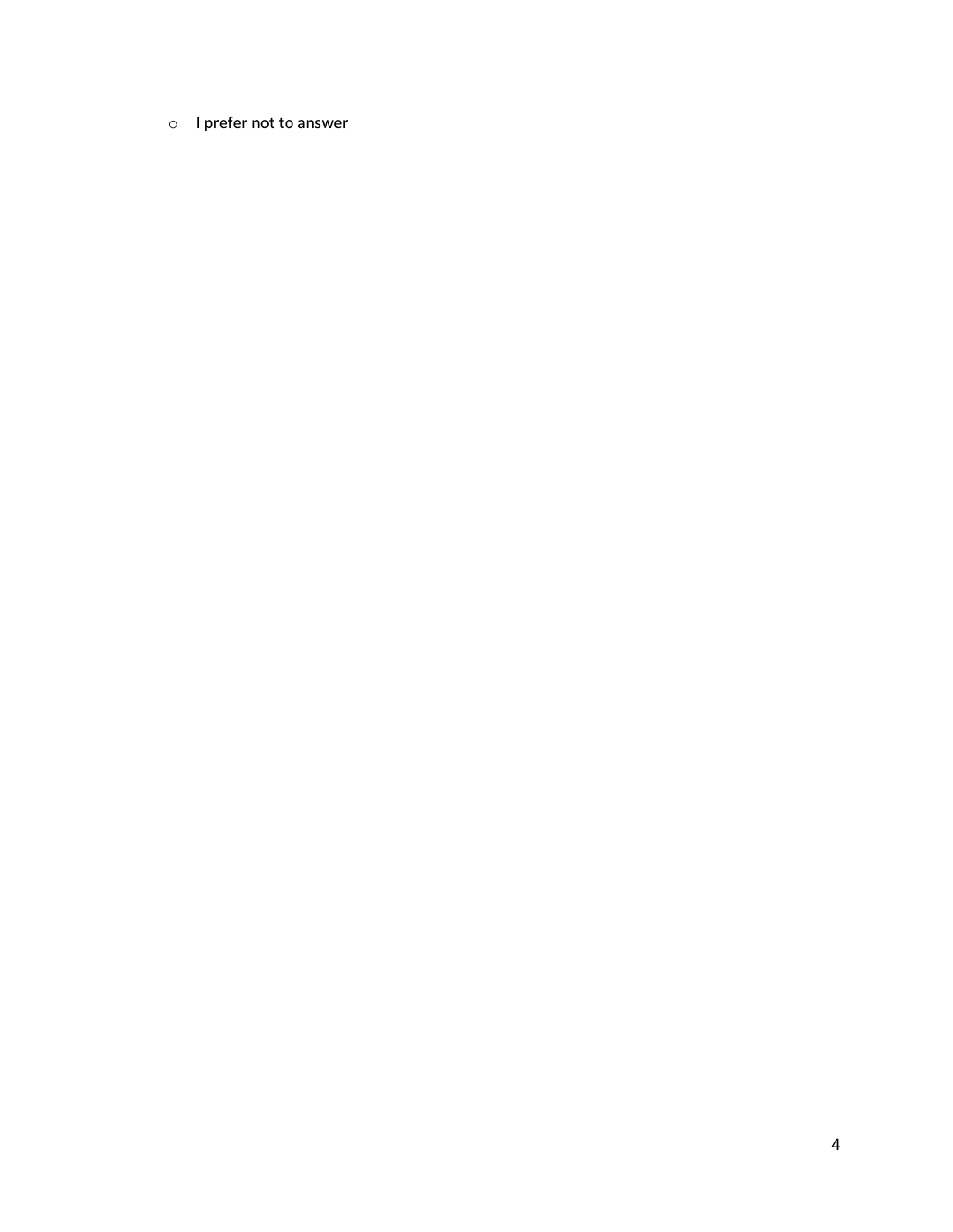### o I prefer not to answer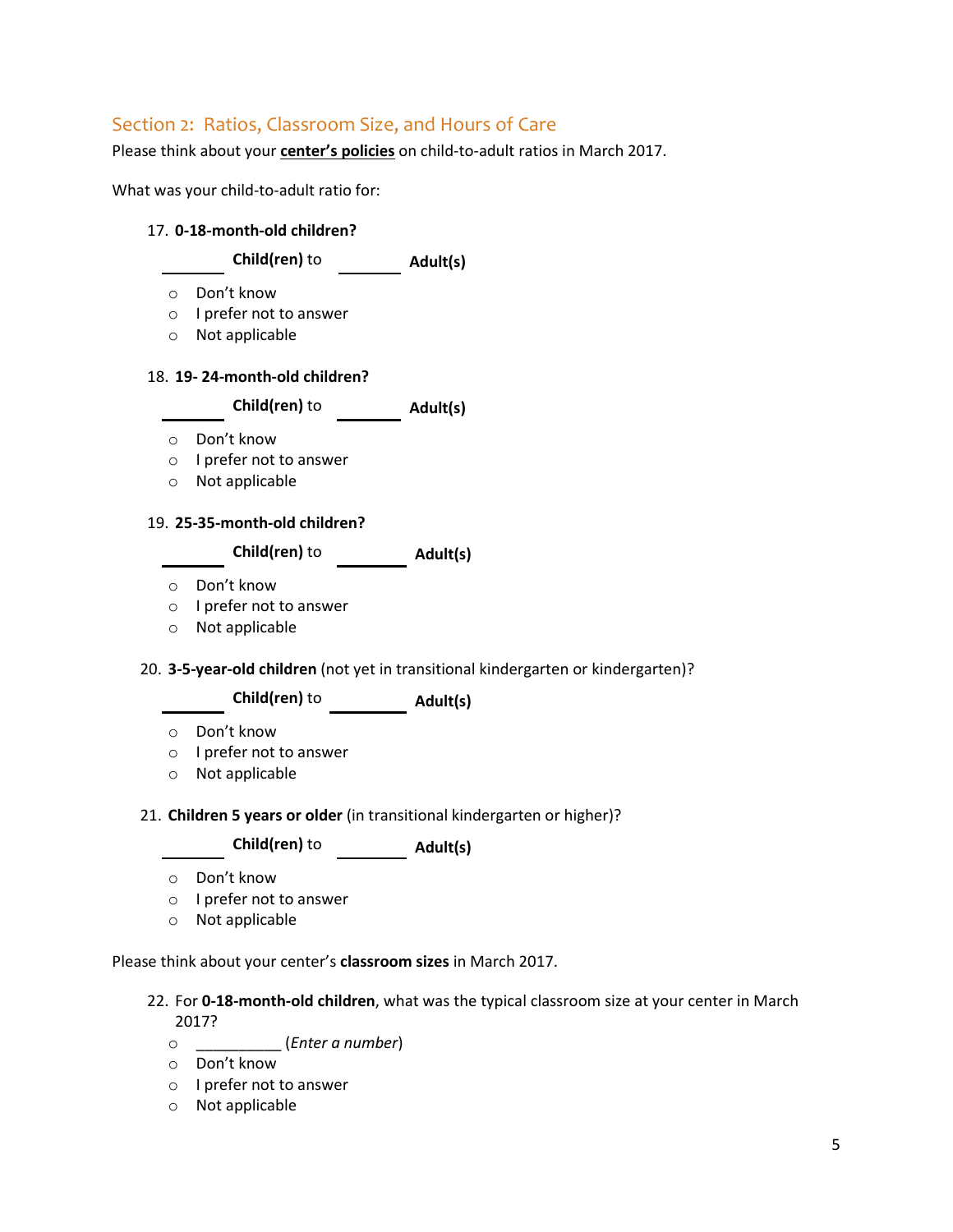# Section 2: Ratios, Classroom Size, and Hours of Care

Please think about your **center's policies** on child-to-adult ratios in March 2017.

What was your child-to-adult ratio for:

#### 17. **0-18-month-old children?**

|  | Child(ren) to | Adult(s) |
|--|---------------|----------|
|--|---------------|----------|

- o Don't know
- o I prefer not to answer
- o Not applicable

#### 18. **19- 24-month-old children?**

**Child(ren)** to **Adult(s)**

- o Don't know
- o I prefer not to answer
- o Not applicable

#### 19. **25-35-month-old children?**

**Child(ren)** to **Adult(s)**

- o Don't know
- o I prefer not to answer
- o Not applicable

20. **3-5-year-old children** (not yet in transitional kindergarten or kindergarten)?

**Child(ren)** to **Adult(s)**

- o Don't know
- o I prefer not to answer
- o Not applicable
- 21. **Children 5 years or older** (in transitional kindergarten or higher)?

**Child(ren)** to **Adult(s)** 

- o Don't know
- o I prefer not to answer
- o Not applicable

Please think about your center's **classroom sizes** in March 2017.

- 22. For **0-18-month-old children**, what was the typical classroom size at your center in March 2017?
	- o \_\_\_\_\_\_\_\_\_\_ (*Enter a number*)
	- o Don't know
	- o I prefer not to answer
	- o Not applicable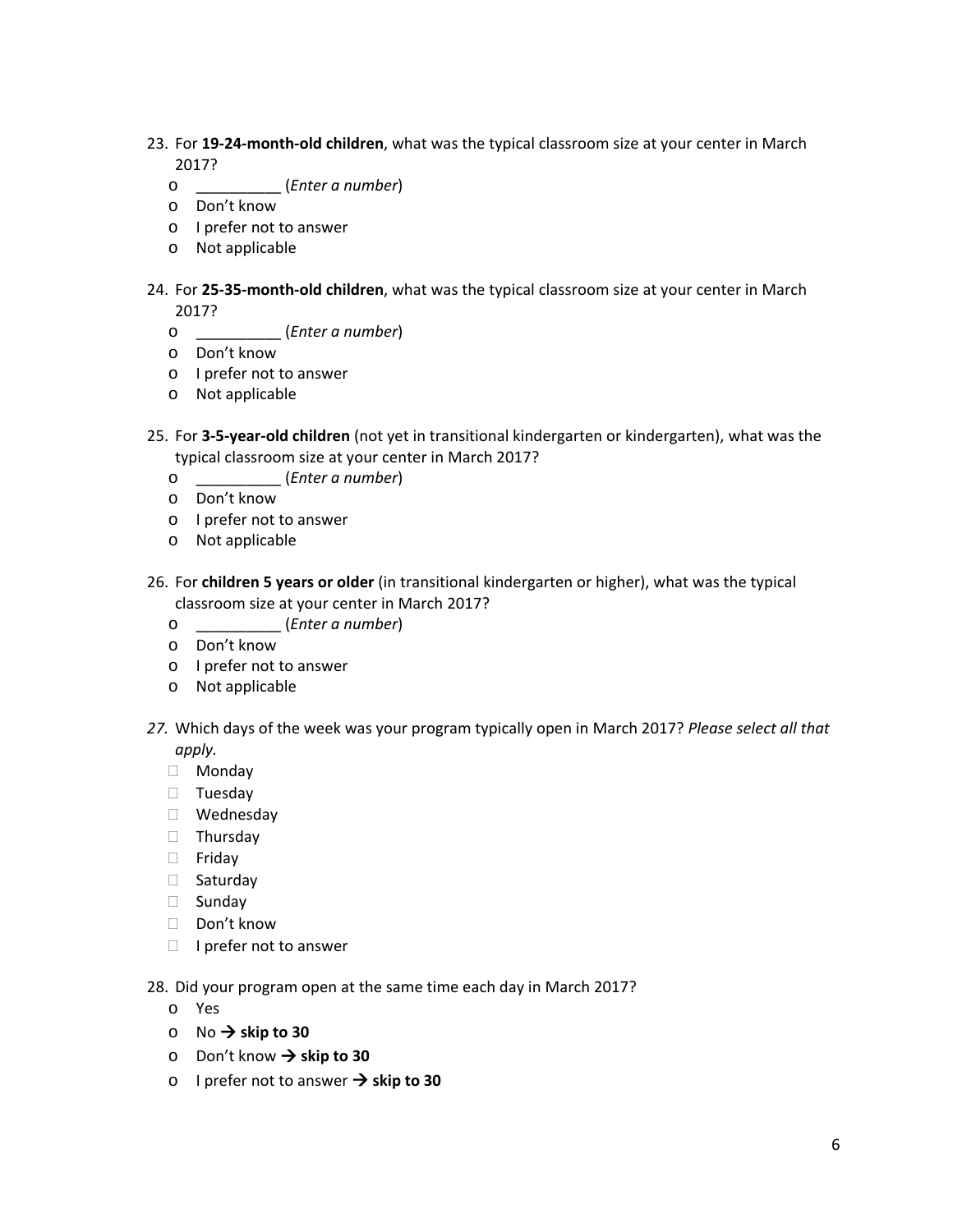- 23. For **19‐24‐month‐old children**, what was the typical classroom size at your center in March 2017?
	- o \_\_\_\_\_\_\_\_\_\_ (*Enter a number*)
	- o Don't know
	- o I prefer not to answer
	- o Not applicable
- 24. For **25‐35‐month‐old children**, what was the typical classroom size at your center in March 2017?
	- o \_\_\_\_\_\_\_\_\_\_ (*Enter a number*)
	- o Don't know
	- o I prefer not to answer
	- o Not applicable
- 25. For **3‐5‐year‐old children** (not yet in transitional kindergarten or kindergarten), what was the typical classroom size at your center in March 2017?
	- o \_\_\_\_\_\_\_\_\_\_ (*Enter a number*)
	- o Don't know
	- o I prefer not to answer
	- o Not applicable
- 26. For **children 5 years or older** (in transitional kindergarten or higher), what was the typical classroom size at your center in March 2017?
	- o \_\_\_\_\_\_\_\_\_\_ (*Enter a number*)
	- o Don't know
	- o I prefer not to answer
	- o Not applicable
- *27.* Which days of the week was your program typically open in March 2017? *Please select all that apply.*
	- Monday
	- Tuesday
	- Wednesday
	- **Thursday**
	- Friday
	- □ Saturday
	- □ Sunday
	- Don't know
	- $\Box$  I prefer not to answer

28. Did your program open at the same time each day in March 2017?

- o Yes
- $\circ$  No  $\rightarrow$  skip to 30
- o Don't know **skip to 30**
- o I prefer not to answer **skip to 30**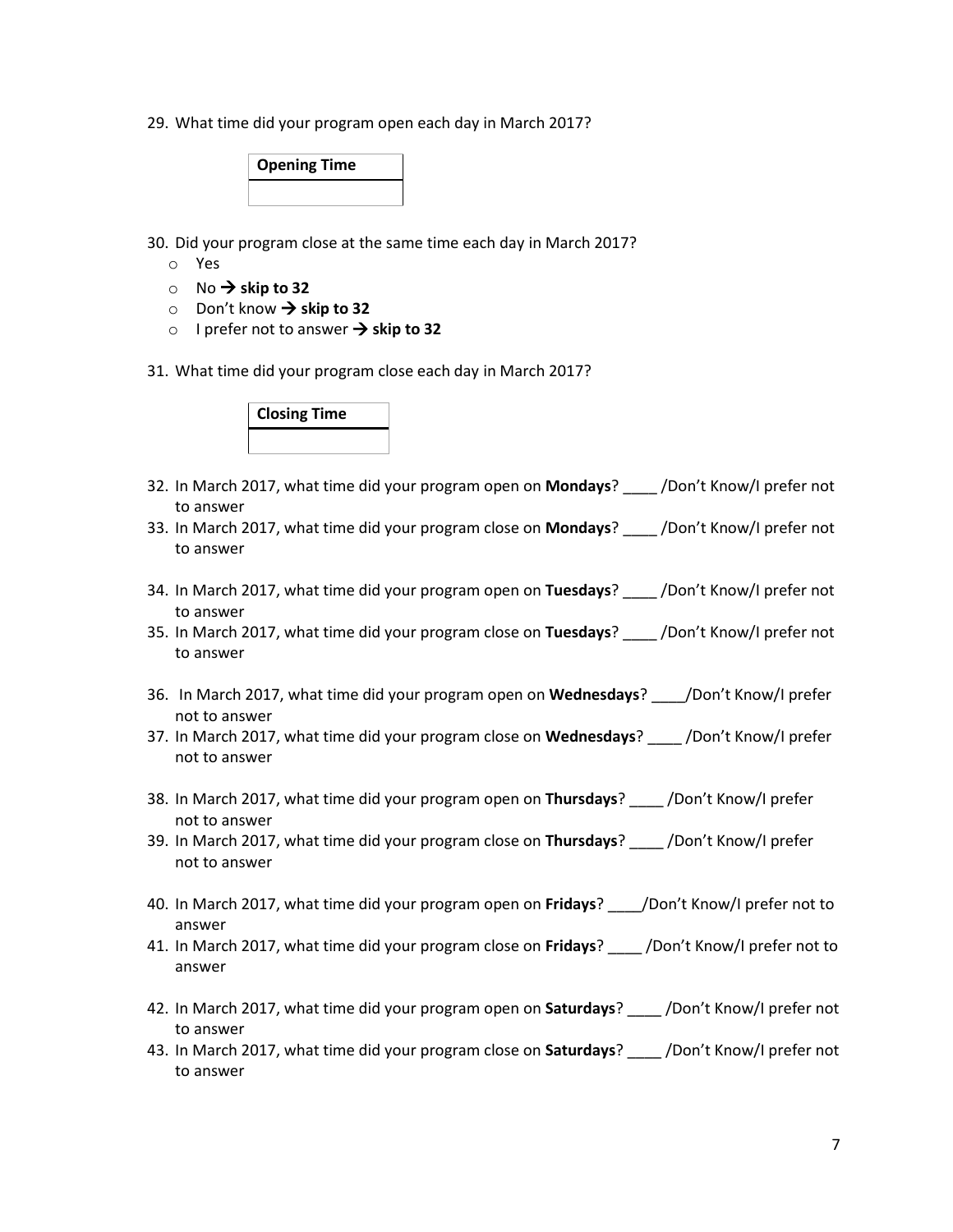29. What time did your program open each day in March 2017?

|  | <b>Opening Time</b> |  |
|--|---------------------|--|
|  |                     |  |

30. Did your program close at the same time each day in March 2017?

- o Yes
- $\circ$  No  $\rightarrow$  skip to 32
- o Don't know **skip to 32**
- o I prefer not to answer  $\rightarrow$  skip to 32
- 31. What time did your program close each day in March 2017?

| <b>Closing Time</b> |  |  |  |  |  |  |  |  |  |
|---------------------|--|--|--|--|--|--|--|--|--|
|                     |  |  |  |  |  |  |  |  |  |

- 32. In March 2017, what time did your program open on **Mondays**? \_\_\_\_ /Don't Know/I prefer not to answer
- 33. In March 2017, what time did your program close on **Mondays**? \_\_\_\_ /Don't Know/I prefer not to answer
- 34. In March 2017, what time did your program open on **Tuesdays**? \_\_\_\_ /Don't Know/I prefer not to answer
- 35. In March 2017, what time did your program close on **Tuesdays**? \_\_\_\_ /Don't Know/I prefer not to answer
- 36. In March 2017, what time did your program open on **Wednesdays**? \_\_\_\_/Don't Know/I prefer not to answer
- 37. In March 2017, what time did your program close on **Wednesdays**? \_\_\_\_ /Don't Know/I prefer not to answer
- 38. In March 2017, what time did your program open on **Thursdays**? \_\_\_\_ /Don't Know/I prefer not to answer
- 39. In March 2017, what time did your program close on **Thursdays**? \_\_\_\_ /Don't Know/I prefer not to answer
- 40. In March 2017, what time did your program open on **Fridays**? \_\_\_\_/Don't Know/I prefer not to answer
- 41. In March 2017, what time did your program close on **Fridays**? \_\_\_\_ /Don't Know/I prefer not to answer
- 42. In March 2017, what time did your program open on **Saturdays**? \_\_\_\_ /Don't Know/I prefer not to answer
- 43. In March 2017, what time did your program close on **Saturdays**? \_\_\_\_ /Don't Know/I prefer not to answer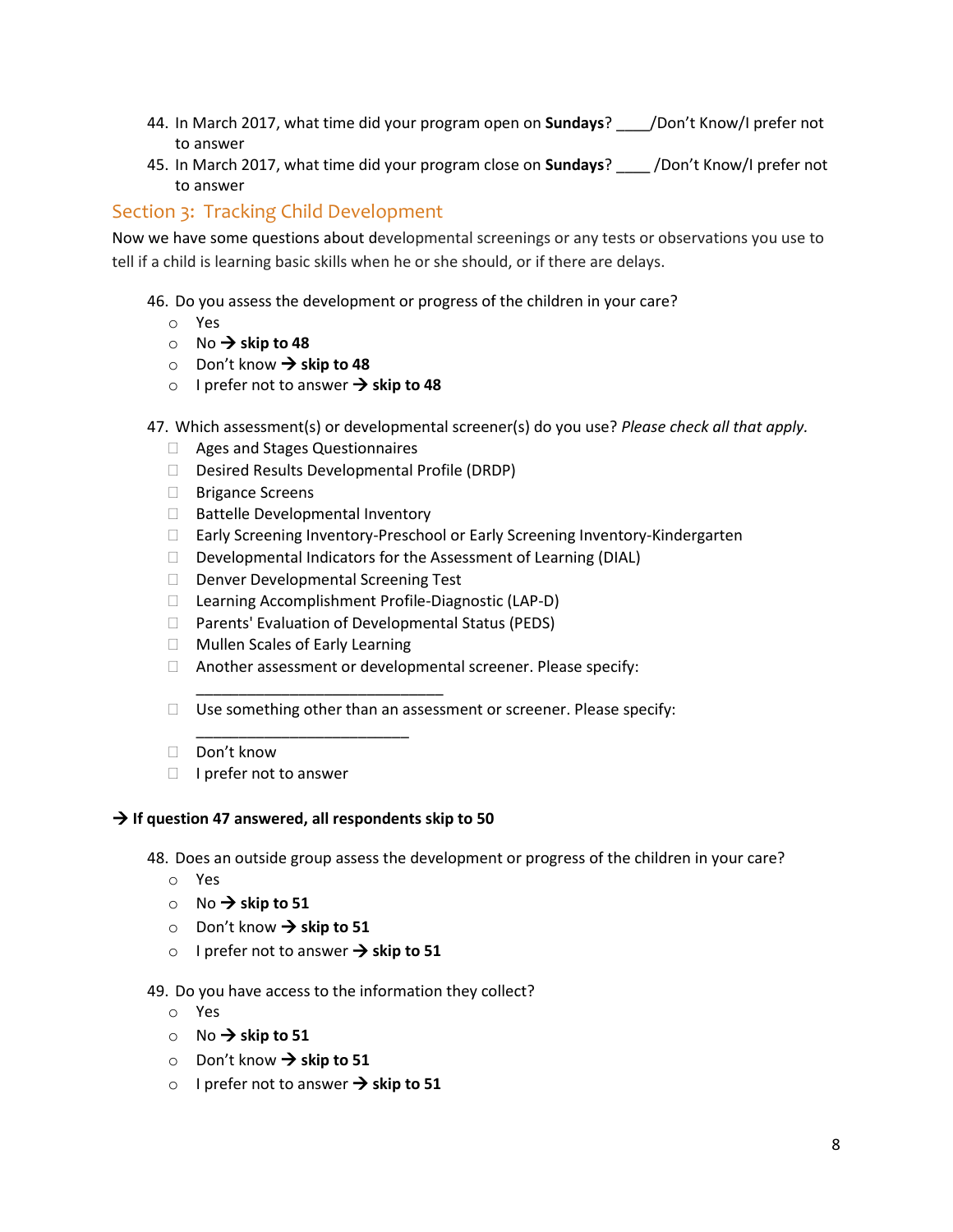- 44. In March 2017, what time did your program open on **Sundays**? \_\_\_\_/Don't Know/I prefer not to answer
- 45. In March 2017, what time did your program close on **Sundays**? \_\_\_\_ /Don't Know/I prefer not to answer

# Section 3: Tracking Child Development

Now we have some questions about developmental screenings or any tests or observations you use to tell if a child is learning basic skills when he or she should, or if there are delays.

- 46. Do you assess the development or progress of the children in your care?
	- o Yes
	- $\circ$  No  $\rightarrow$  skip to 48
	- $\circ$  Don't know  $\rightarrow$  skip to 48
	- o I prefer not to answer  $\rightarrow$  skip to 48
- 47. Which assessment(s) or developmental screener(s) do you use? *Please check all that apply.*
	- Ages and Stages Questionnaires
	- Desired Results Developmental Profile (DRDP)
	- □ Brigance Screens
	- □ Battelle Developmental Inventory
	- □ Early Screening Inventory-Preschool or Early Screening Inventory-Kindergarten
	- $\Box$  Developmental Indicators for the Assessment of Learning (DIAL)
	- D Denver Developmental Screening Test

\_\_\_\_\_\_\_\_\_\_\_\_\_\_\_\_\_\_\_\_\_\_\_\_\_\_\_\_\_

- Learning Accomplishment Profile-Diagnostic (LAP-D)
- $\Box$  Parents' Evaluation of Developmental Status (PEDS)
- Mullen Scales of Early Learning
- Another assessment or developmental screener. Please specify:
- $\Box$  Use something other than an assessment or screener. Please specify:
- Don't know
- $\Box$  I prefer not to answer

#### **If question 47 answered, all respondents skip to 50**

\_\_\_\_\_\_\_\_\_\_\_\_\_\_\_\_\_\_\_\_\_\_\_\_\_

48. Does an outside group assess the development or progress of the children in your care?

- o Yes
- $\circ$  No  $\rightarrow$  skip to 51
- $\circ$  Don't know  $\rightarrow$  skip to 51
- o I prefer not to answer  $\rightarrow$  skip to 51

49. Do you have access to the information they collect?

- o Yes
- $\circ$  No  $\rightarrow$  skip to 51
- Don't know → skip to 51
- $\circ$  I prefer not to answer  $\rightarrow$  skip to 51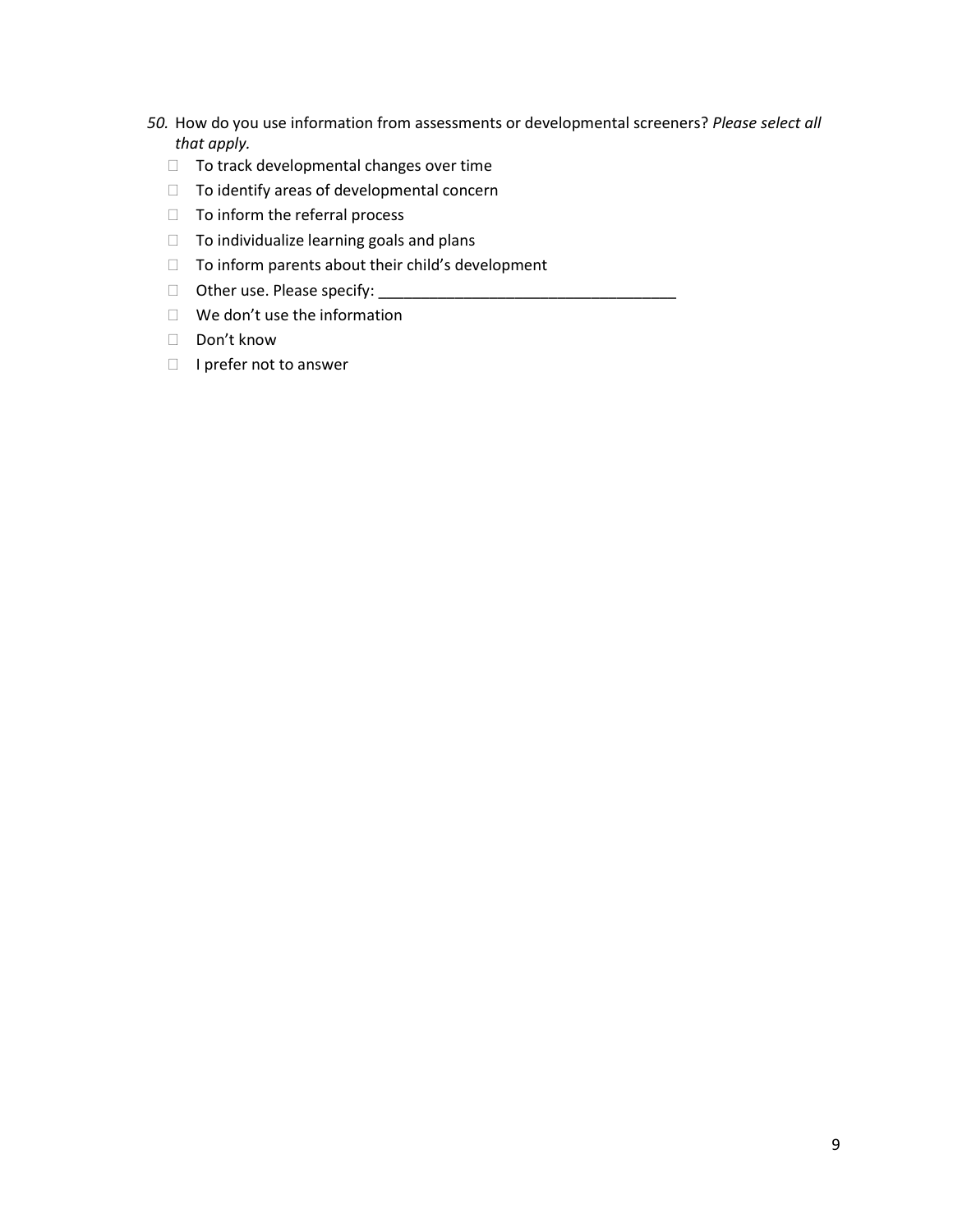- *50.* How do you use information from assessments or developmental screeners? *Please select all that apply.* 
	- $\Box$  To track developmental changes over time
	- $\Box$  To identify areas of developmental concern
	- $\Box$  To inform the referral process
	- $\Box$  To individualize learning goals and plans
	- $\Box$  To inform parents about their child's development
	- $\Box$  Other use. Please specify:
	- We don't use the information
	- □ Don't know
	- $\Box$  I prefer not to answer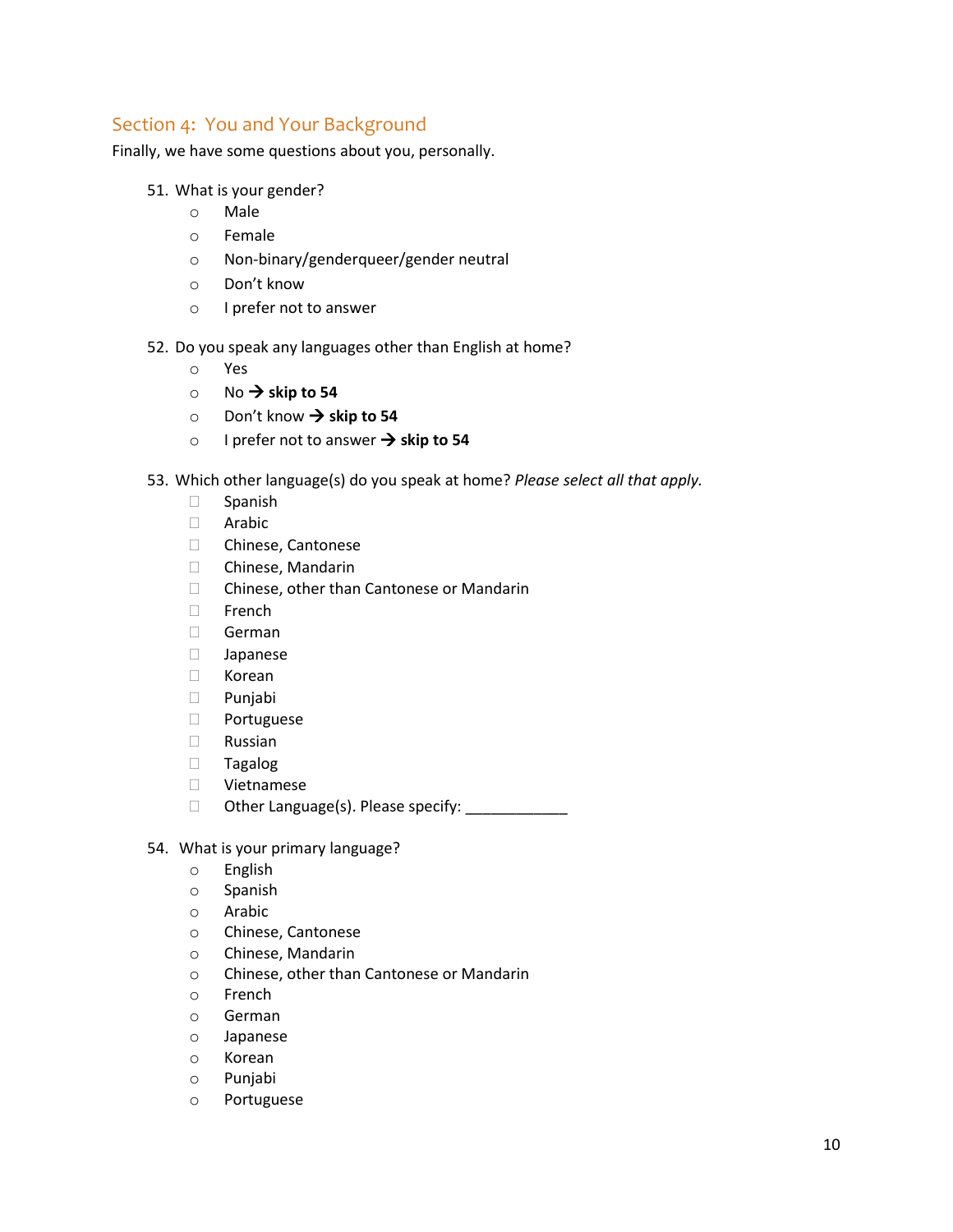### Section 4: You and Your Background

Finally, we have some questions about you, personally.

- 51. What is your gender?
	- o Male
	- o Female
	- o Non-binary/genderqueer/gender neutral
	- o Don't know
	- o I prefer not to answer
- 52. Do you speak any languages other than English at home?
	- o Yes
	- $\circ$  No  $\rightarrow$  skip to 54
	- o Don't know → skip to 54
	- o I prefer not to answer **skip to 54**
- 53. Which other language(s) do you speak at home? *Please select all that apply.*
	- $\square$  Spanish
	- Arabic
	- □ Chinese, Cantonese
	- Chinese, Mandarin
	- □ Chinese, other than Cantonese or Mandarin
	- □ French
	- German
	- Japanese
	- Korean
	- Punjabi
	- Portuguese
	- Russian
	- Tagalog
	- Vietnamese
	- $\Box$  Other Language(s). Please specify:
- 54. What is your primary language?
	- o English
	- o Spanish
	- o Arabic
	- o Chinese, Cantonese
	- o Chinese, Mandarin
	- o Chinese, other than Cantonese or Mandarin
	- o French
	- o German
	- o Japanese
	- o Korean
	- o Punjabi
	- o Portuguese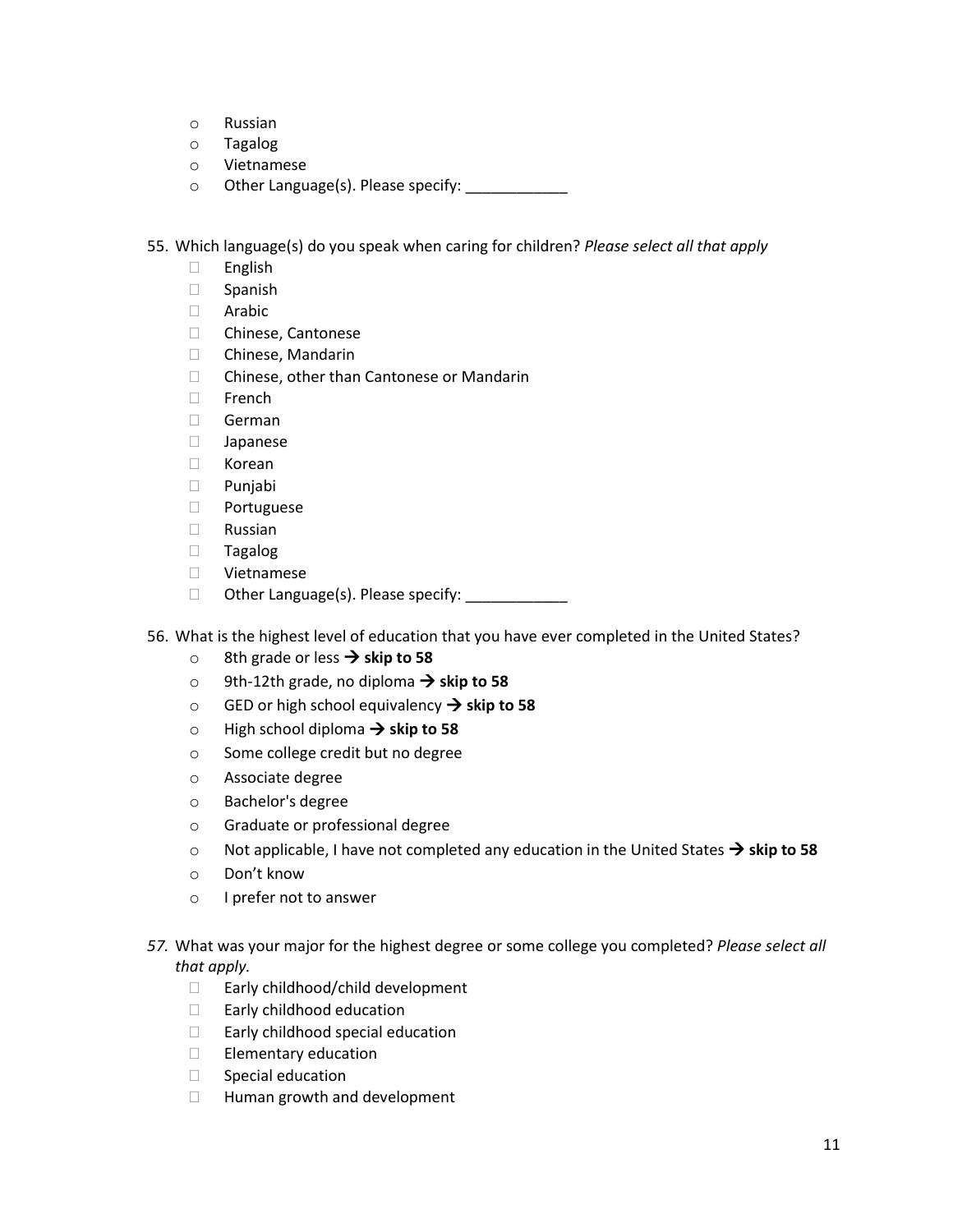- o Russian
- o Tagalog
- o Vietnamese
- o Other Language(s). Please specify: \_\_\_\_\_\_\_\_\_\_\_\_

55. Which language(s) do you speak when caring for children? *Please select all that apply*

- English
- Spanish
- Arabic
- Chinese, Cantonese
- Chinese, Mandarin
- □ Chinese, other than Cantonese or Mandarin
- $\Box$  French
- German
- Japanese
- Korean
- Punjabi
- Portuguese
- Russian
- Tagalog
- Vietnamese
- □ Other Language(s). Please specify: \_\_\_\_\_\_\_\_\_\_\_\_
- 56. What is the highest level of education that you have ever completed in the United States?
	- 8th grade or less → skip to 58
	- o 9th-12th grade, no diploma  $\rightarrow$  skip to 58
	- o GED or high school equivalency **skip to 58**
	- $\circ$  High school diploma  $\rightarrow$  skip to 58
	- o Some college credit but no degree
	- o Associate degree
	- o Bachelor's degree
	- o Graduate or professional degree
	- $\circ$  Not applicable, I have not completed any education in the United States  $\rightarrow$  skip to 58
	- o Don't know
	- o I prefer not to answer
- *57.* What was your major for the highest degree or some college you completed? *Please select all that apply.*
	- □ Early childhood/child development
	- □ Early childhood education
	- □ Early childhood special education
	- $\Box$  Elementary education
	- $\Box$  Special education
	- □ Human growth and development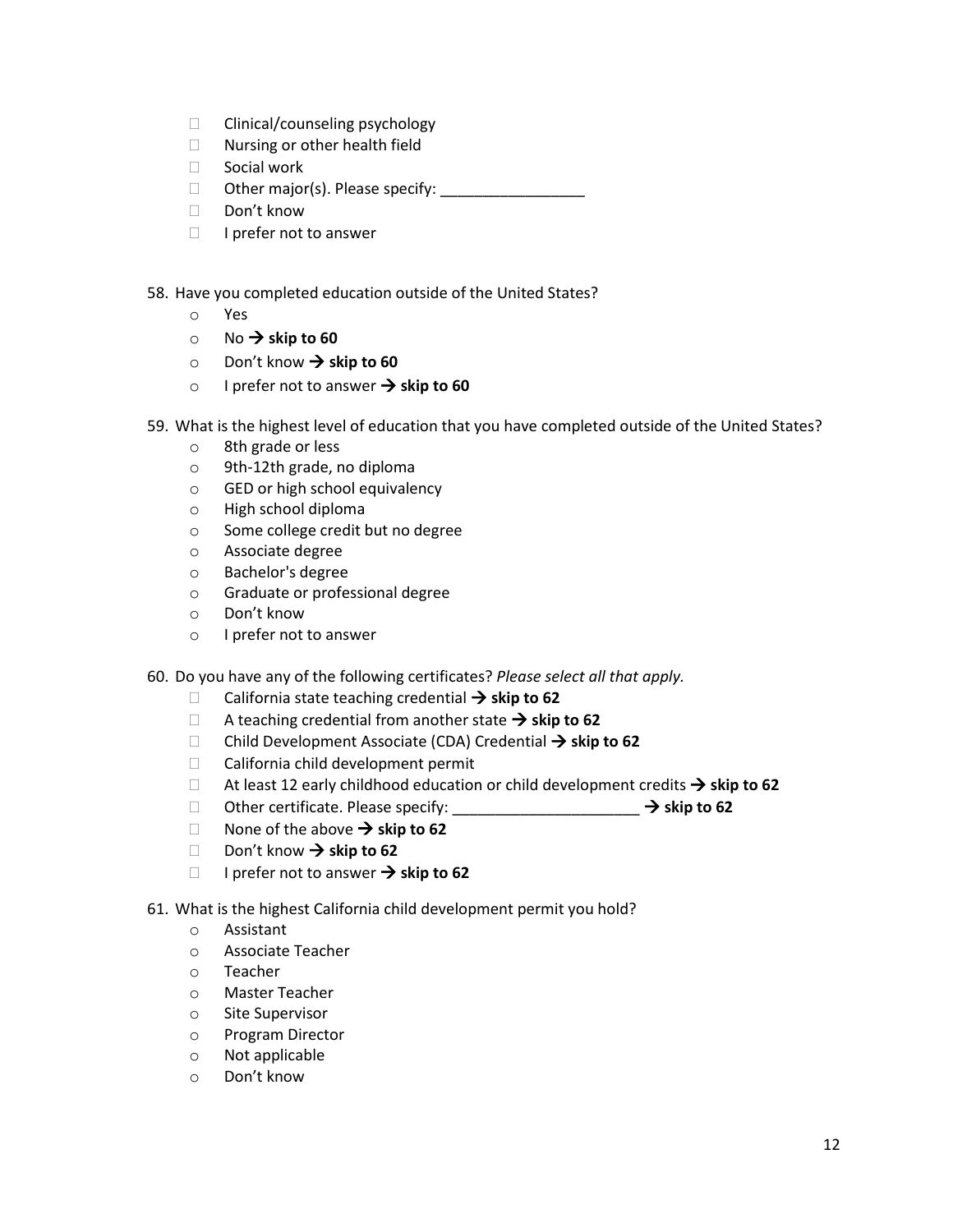- $\Box$  Clinical/counseling psychology
- □ Nursing or other health field
- □ Social work
- Other major(s). Please specify: \_\_\_\_\_\_\_\_\_\_\_\_\_\_\_\_\_
- □ Don't know
- $\Box$  I prefer not to answer

58. Have you completed education outside of the United States?

- o Yes
- $\circ$  No  $\rightarrow$  skip to 60
- o Don't know **skip to 60**
- o I prefer not to answer  $\rightarrow$  skip to 60
- 59. What is the highest level of education that you have completed outside of the United States?
	- o 8th grade or less
	- o 9th-12th grade, no diploma
	- o GED or high school equivalency
	- o High school diploma
	- o Some college credit but no degree
	- o Associate degree
	- o Bachelor's degree
	- o Graduate or professional degree
	- o Don't know
	- o I prefer not to answer
- 60. Do you have any of the following certificates? *Please select all that apply.*
	- California state teaching credential  $\rightarrow$  skip to 62
	- $\Box$  A teaching credential from another state  $\rightarrow$  skip to 62
	- □ Child Development Associate (CDA) Credential → skip to 62
	- □ California child development permit
	- $\Box$  At least 12 early childhood education or child development credits  $\rightarrow$  skip to 62
	- Other certificate. Please specify: \_\_\_\_\_\_\_\_\_\_\_\_\_\_\_\_\_\_\_\_\_\_ **skip to 62**
	- **None of the above**  $\rightarrow$  **skip to 62**
	- Don't know  $\rightarrow$  skip to 62
	- □ I prefer not to answer  $\rightarrow$  skip to 62
- 61. What is the highest California child development permit you hold?
	- o Assistant
	- o Associate Teacher
	- o Teacher
	- o Master Teacher
	- o Site Supervisor
	- o Program Director
	- o Not applicable
	- o Don't know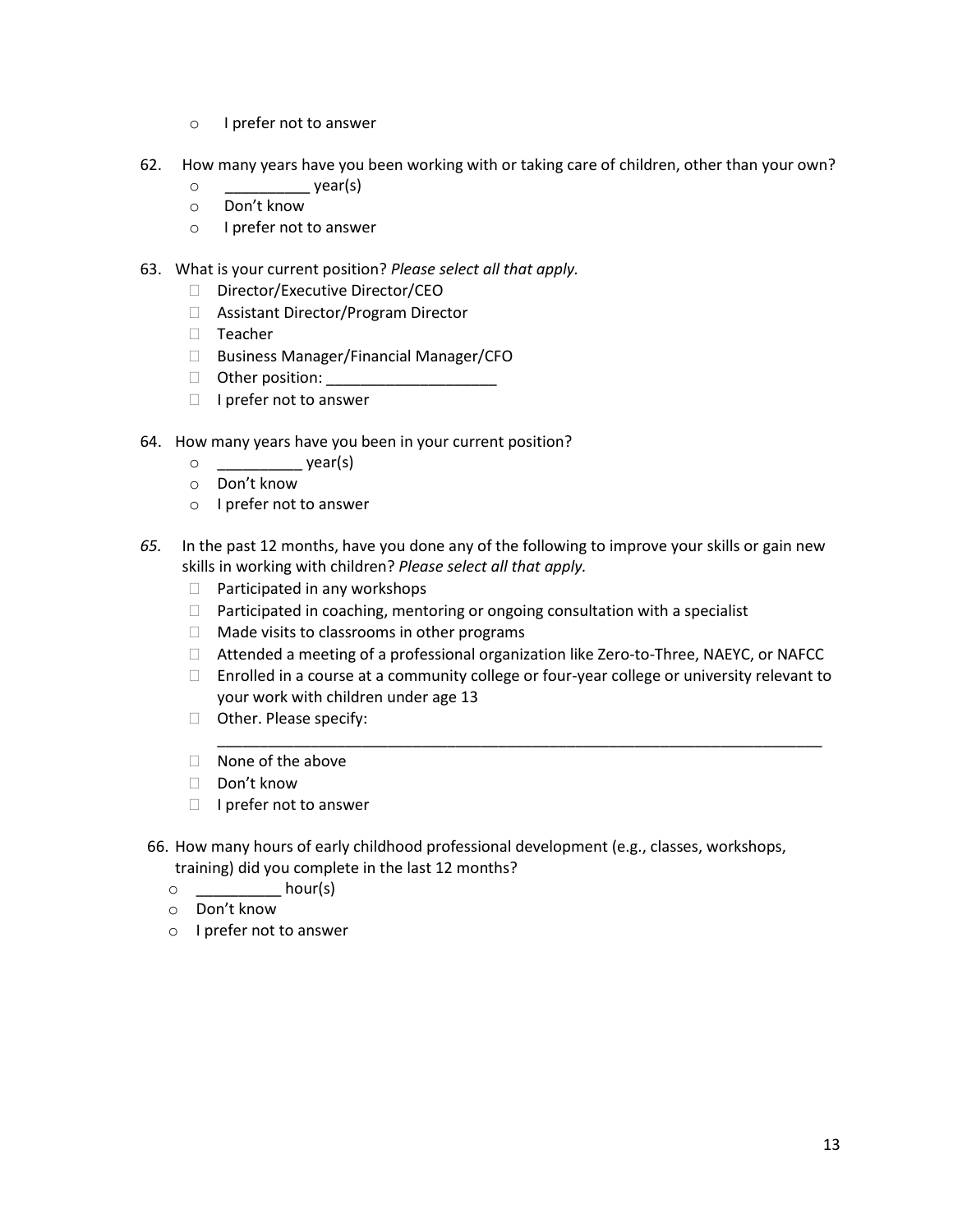- o I prefer not to answer
- 62. How many years have you been working with or taking care of children, other than your own?
	- o \_\_\_\_\_\_\_\_\_\_ year(s)
	- o Don't know
	- o I prefer not to answer
- 63. What is your current position? *Please select all that apply.*
	- Director/Executive Director/CEO
	- □ Assistant Director/Program Director
	- $\Box$  Teacher
	- □ Business Manager/Financial Manager/CFO
	- $\Box$  Other position:
	- $\Box$  I prefer not to answer
- 64. How many years have you been in your current position?
	- $\circ$  year(s)
	- o Don't know
	- o I prefer not to answer
- *65.* In the past 12 months, have you done any of the following to improve your skills or gain new skills in working with children? *Please select all that apply.*
	- $\Box$  Participated in any workshops
	- $\Box$  Participated in coaching, mentoring or ongoing consultation with a specialist
	- $\Box$  Made visits to classrooms in other programs
	- Attended a meeting of a professional organization like Zero-to-Three, NAEYC, or NAFCC
	- □ Enrolled in a course at a community college or four-year college or university relevant to your work with children under age 13

\_\_\_\_\_\_\_\_\_\_\_\_\_\_\_\_\_\_\_\_\_\_\_\_\_\_\_\_\_\_\_\_\_\_\_\_\_\_\_\_\_\_\_\_\_\_\_\_\_\_\_\_\_\_\_\_\_\_\_\_\_\_\_\_\_\_\_\_\_\_\_

- □ Other. Please specify:
- $\Box$  None of the above
- Don't know
- $\Box$  I prefer not to answer
- 66. How many hours of early childhood professional development (e.g., classes, workshops, training) did you complete in the last 12 months?
	- $\circ$  hour(s)
	- o Don't know
	- o I prefer not to answer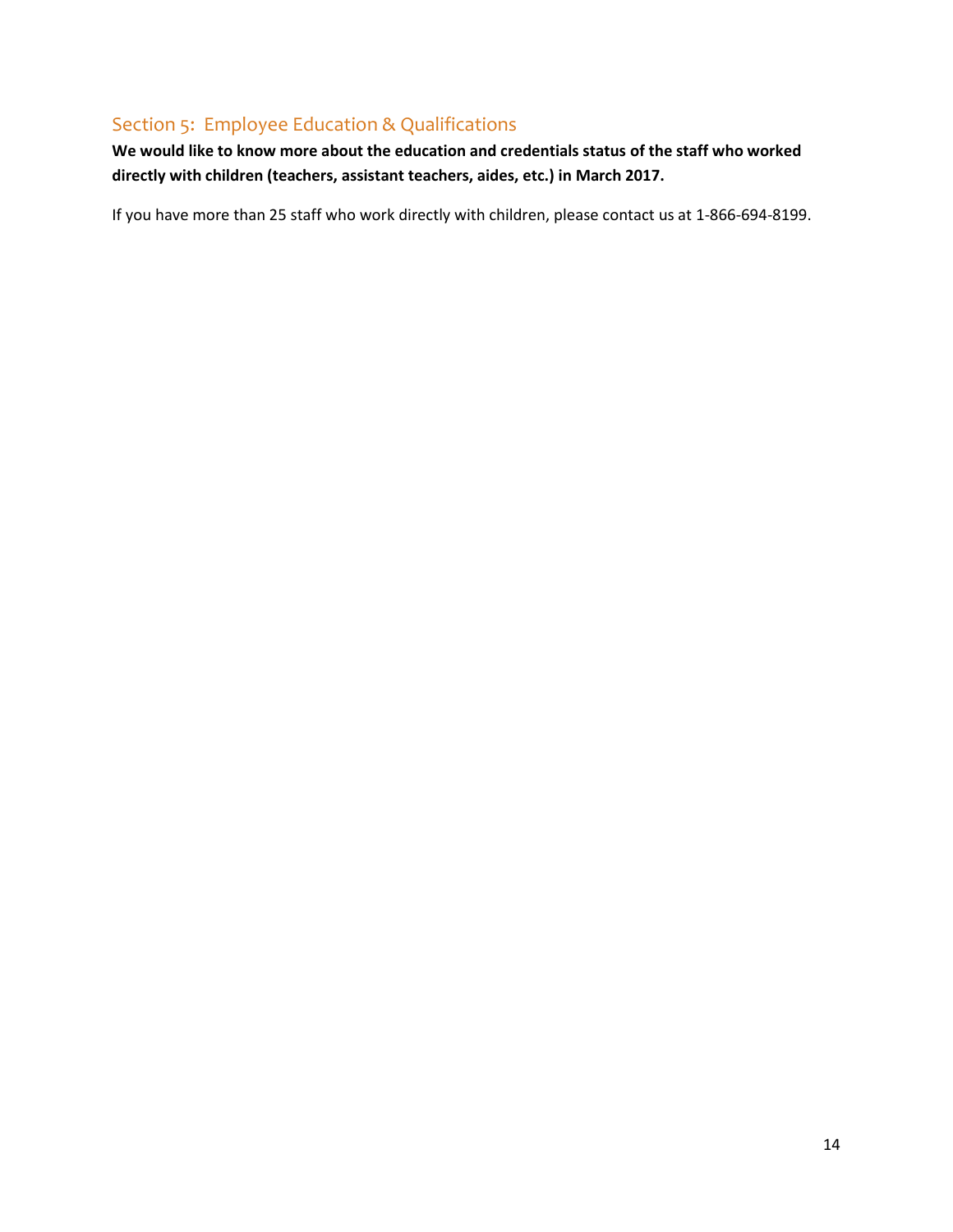# Section 5: Employee Education & Qualifications

**We would like to know more about the education and credentials status of the staff who worked directly with children (teachers, assistant teachers, aides, etc.) in March 2017.**

If you have more than 25 staff who work directly with children, please contact us at 1-866-694-8199.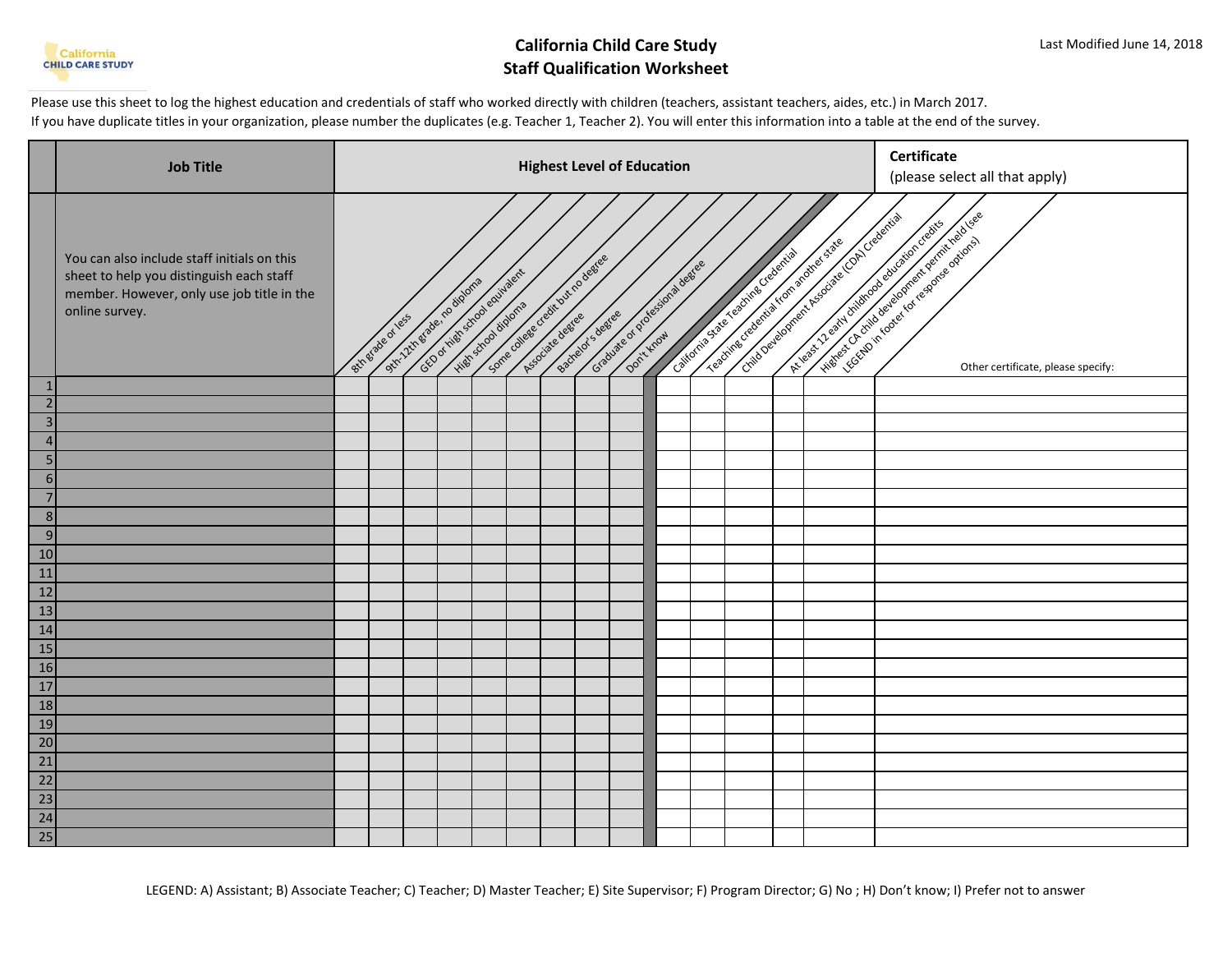

# **California Child Care Study Staff Qualification Worksheet**

Please use this sheet to log the highest education and credentials of staff who worked directly with children (teachers, assistant teachers, aides, etc.) in March 2017. If you have duplicate titles in your organization, please number the duplicates (e.g. Teacher 1, Teacher 2). You will enter this information into a table at the end of the survey.

|                                                                 | <b>Job Title</b>                                                                                                                                        | <b>Highest Level of Education</b> |                  |  |                                                                                      |  |  |  |  |                                                                |  |  |                                     | <b>Certificate</b><br>(please select all that apply)                             |                                                                                                                                                            |
|-----------------------------------------------------------------|---------------------------------------------------------------------------------------------------------------------------------------------------------|-----------------------------------|------------------|--|--------------------------------------------------------------------------------------|--|--|--|--|----------------------------------------------------------------|--|--|-------------------------------------|----------------------------------------------------------------------------------|------------------------------------------------------------------------------------------------------------------------------------------------------------|
|                                                                 | You can also include staff initials on this<br>sheet to help you distinguish each staff<br>member. However, only use job title in the<br>online survey. |                                   | Btt erabeat less |  | GEO of night school equivalent<br>oth 2th grade, radiators<br>High streamed airports |  |  |  |  | Some othere decide degree e<br>Graduate or processional degree |  |  | cattonia state reachines credettias | Critics Development Associate Condiction<br>Teachine creeking Krom and the State | History of this tool equipment deviations of use<br>Is the first of earth of the content of change of the content of<br>Other certificate, please specify: |
| $\mathbf{1}$                                                    |                                                                                                                                                         |                                   |                  |  |                                                                                      |  |  |  |  |                                                                |  |  |                                     |                                                                                  |                                                                                                                                                            |
| $\overline{2}$                                                  |                                                                                                                                                         |                                   |                  |  |                                                                                      |  |  |  |  |                                                                |  |  |                                     |                                                                                  |                                                                                                                                                            |
| $\overline{\mathbf{3}}$<br>4 <sub>1</sub>                       |                                                                                                                                                         |                                   |                  |  |                                                                                      |  |  |  |  |                                                                |  |  |                                     |                                                                                  |                                                                                                                                                            |
| 5 <sub>l</sub>                                                  |                                                                                                                                                         |                                   |                  |  |                                                                                      |  |  |  |  |                                                                |  |  |                                     |                                                                                  |                                                                                                                                                            |
| 6                                                               |                                                                                                                                                         |                                   |                  |  |                                                                                      |  |  |  |  |                                                                |  |  |                                     |                                                                                  |                                                                                                                                                            |
|                                                                 |                                                                                                                                                         |                                   |                  |  |                                                                                      |  |  |  |  |                                                                |  |  |                                     |                                                                                  |                                                                                                                                                            |
| $\boldsymbol{8}$                                                |                                                                                                                                                         |                                   |                  |  |                                                                                      |  |  |  |  |                                                                |  |  |                                     |                                                                                  |                                                                                                                                                            |
| 9                                                               |                                                                                                                                                         |                                   |                  |  |                                                                                      |  |  |  |  |                                                                |  |  |                                     |                                                                                  |                                                                                                                                                            |
| 10                                                              |                                                                                                                                                         |                                   |                  |  |                                                                                      |  |  |  |  |                                                                |  |  |                                     |                                                                                  |                                                                                                                                                            |
| 11                                                              |                                                                                                                                                         |                                   |                  |  |                                                                                      |  |  |  |  |                                                                |  |  |                                     |                                                                                  |                                                                                                                                                            |
| 12                                                              |                                                                                                                                                         |                                   |                  |  |                                                                                      |  |  |  |  |                                                                |  |  |                                     |                                                                                  |                                                                                                                                                            |
| 13                                                              |                                                                                                                                                         |                                   |                  |  |                                                                                      |  |  |  |  |                                                                |  |  |                                     |                                                                                  |                                                                                                                                                            |
| 14                                                              |                                                                                                                                                         |                                   |                  |  |                                                                                      |  |  |  |  |                                                                |  |  |                                     |                                                                                  |                                                                                                                                                            |
| 15                                                              |                                                                                                                                                         |                                   |                  |  |                                                                                      |  |  |  |  |                                                                |  |  |                                     |                                                                                  |                                                                                                                                                            |
| 16                                                              |                                                                                                                                                         |                                   |                  |  |                                                                                      |  |  |  |  |                                                                |  |  |                                     |                                                                                  |                                                                                                                                                            |
| 17                                                              |                                                                                                                                                         |                                   |                  |  |                                                                                      |  |  |  |  |                                                                |  |  |                                     |                                                                                  |                                                                                                                                                            |
| 18                                                              |                                                                                                                                                         |                                   |                  |  |                                                                                      |  |  |  |  |                                                                |  |  |                                     |                                                                                  |                                                                                                                                                            |
| 19                                                              |                                                                                                                                                         |                                   |                  |  |                                                                                      |  |  |  |  |                                                                |  |  |                                     |                                                                                  |                                                                                                                                                            |
| $\begin{array}{r} 20 \\ 21 \\ 22 \\ 23 \\ 24 \\ 25 \end{array}$ |                                                                                                                                                         |                                   |                  |  |                                                                                      |  |  |  |  |                                                                |  |  |                                     |                                                                                  |                                                                                                                                                            |
|                                                                 |                                                                                                                                                         |                                   |                  |  |                                                                                      |  |  |  |  |                                                                |  |  |                                     |                                                                                  |                                                                                                                                                            |
|                                                                 |                                                                                                                                                         |                                   |                  |  |                                                                                      |  |  |  |  |                                                                |  |  |                                     |                                                                                  |                                                                                                                                                            |
|                                                                 |                                                                                                                                                         |                                   |                  |  |                                                                                      |  |  |  |  |                                                                |  |  |                                     |                                                                                  |                                                                                                                                                            |
|                                                                 |                                                                                                                                                         |                                   |                  |  |                                                                                      |  |  |  |  |                                                                |  |  |                                     |                                                                                  |                                                                                                                                                            |
|                                                                 |                                                                                                                                                         |                                   |                  |  |                                                                                      |  |  |  |  |                                                                |  |  |                                     |                                                                                  |                                                                                                                                                            |